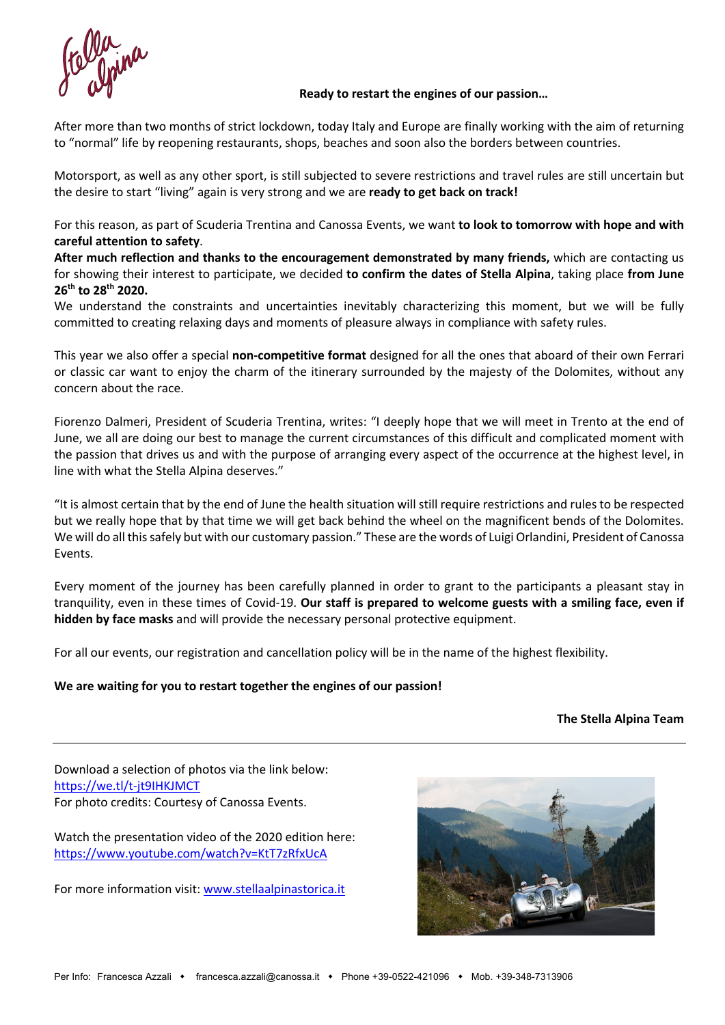# **Ready to restart the engines of our passion…**

After more than two months of strict lockdown, today Italy and Europe are finally working with the aim of returning to "normal" life by reopening restaurants, shops, beaches and soon also the borders between countries.

Motorsport, as well as any other sport, is still subjected to severe restrictions and travel rules are still uncertain but the desire to start "living" again is very strong and we are **ready to get back on track!**

For this reason, as part of Scuderia Trentina and Canossa Events, we want **to look to tomorrow with hope and with careful attention to safety**.

**After much reflection and thanks to the encouragement demonstrated by many friends,** which are contacting us for showing their interest to participate, we decided **to confirm the dates of Stella Alpina**, taking place **from June 26th to 28th 2020.**

We understand the constraints and uncertainties inevitably characterizing this moment, but we will be fully committed to creating relaxing days and moments of pleasure always in compliance with safety rules.

This year we also offer a special **non-competitive format** designed for all the ones that aboard of their own Ferrari or classic car want to enjoy the charm of the itinerary surrounded by the majesty of the Dolomites, without any concern about the race.

Fiorenzo Dalmeri, President of Scuderia Trentina, writes: "I deeply hope that we will meet in Trento at the end of June, we all are doing our best to manage the current circumstances of this difficult and complicated moment with the passion that drives us and with the purpose of arranging every aspect of the occurrence at the highest level, in line with what the Stella Alpina deserves."

"It is almost certain that by the end of June the health situation will still require restrictions and rules to be respected but we really hope that by that time we will get back behind the wheel on the magnificent bends of the Dolomites. We will do all this safely but with our customary passion." These are the words of Luigi Orlandini, President of Canossa Events.

Every moment of the journey has been carefully planned in order to grant to the participants a pleasant stay in tranquility, even in these times of Covid-19. **Our staff is prepared to welcome guests with a smiling face, even if hidden by face masks** and will provide the necessary personal protective equipment.

For all our events, our registration and cancellation policy will be in the name of the highest flexibility.

# **We are waiting for you to restart together the engines of our passion!**

# **The Stella Alpina Team**

Download a selection of photos via the link below: https://we.tl/t-jt9IHKJMCT For photo credits: Courtesy of Canossa Events.

Watch the presentation video of the 2020 edition here: https://www.youtube.com/watch?v=KtT7zRfxUcA

For more information visit: www.stellaalpinastorica.it